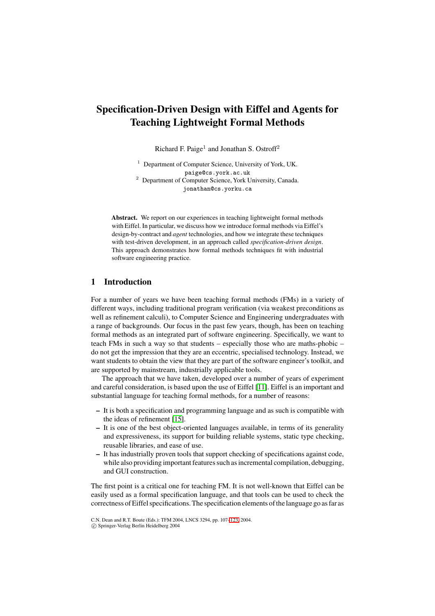# **Specification-Driven Design with Eiffel and Agents for Teaching Lightweight Formal Methods**

Richard F. Paige<sup>1</sup> and Jonathan S. Ostroff<sup>2</sup>

<sup>1</sup> Department of Computer Science, University of York, UK. paige@cs.york.ac.uk<br><sup>2</sup> Department of Computer Science, York University, Canada. jonathan@cs.yorku.ca

**Abstract.** We report on our experiences in teaching lightweight formal methods with Eiffel. In particular, we discuss how we introduce formal methods via Eiffel's design-by-contract and *agent* technologies, and how we integrate these techniques with test-driven development, in an approach called *specification-driven design*. This approach demonstrates how formal methods techniques fit with industrial software engineering practice.

# **1 Introduction**

For a number of years we have been teaching formal methods (FMs) in a variety of different ways, including traditional program verification (via weakest preconditions as well as refinement calculi), to Computer Science and Engineering undergraduates with a range of backgrounds. Our focus in the past few years, though, has been on teaching formal methods as an integrated part of software engineering. Specifically, we want to teach FMs in such a way so that students – especially those who are maths-phobic – do not get the impression that they are an eccentric, specialised technology. Instead, we want students to obtain the view that they are part of the software engineer's toolkit, and are supported by mainstream, industrially applicable tools.

The approach that we have taken, developed over a number of years of experiment and careful consideration, is based upon the use of Eiffel [\[11\]](#page-16-0). Eiffel is an important and substantial language for teaching formal methods, for a number of reasons:

- **–** It is both a specification and programming language and as such is compatible with the ideas of refinement [\[15\]](#page-16-0).
- **–** It is one of the best object-oriented languages available, in terms of its generality and expressiveness, its support for building reliable systems, static type checking, reusable libraries, and ease of use.
- **–** It has industrially proven tools that support checking of specifications against code, while also providing important features such as incremental compilation, debugging, and GUI construction.

The first point is a critical one for teaching FM. It is not well-known that Eiffel can be easily used as a formal specification language, and that tools can be used to check the correctness of Eiffel specifications. The specification elements of the language go as far as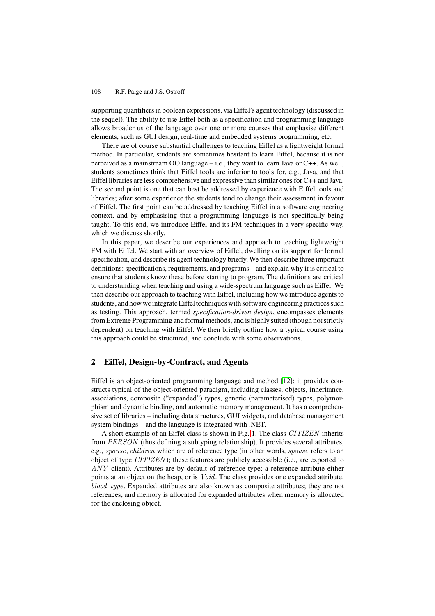supporting quantifiers in boolean expressions, via Eiffel's agent technology (discussed in the sequel). The ability to use Eiffel both as a specification and programming language allows broader us of the language over one or more courses that emphasise different elements, such as GUI design, real-time and embedded systems programming, etc.

There are of course substantial challenges to teaching Eiffel as a lightweight formal method. In particular, students are sometimes hesitant to learn Eiffel, because it is not perceived as a mainstream OO language – i.e., they want to learn Java or C++. As well, students sometimes think that Eiffel tools are inferior to tools for, e.g., Java, and that Eiffel libraries are less comprehensive and expressive than similar ones for C++ and Java. The second point is one that can best be addressed by experience with Eiffel tools and libraries; after some experience the students tend to change their assessment in favour of Eiffel. The first point can be addressed by teaching Eiffel in a software engineering context, and by emphasising that a programming language is not specifically being taught. To this end, we introduce Eiffel and its FM techniques in a very specific way, which we discuss shortly.

In this paper, we describe our experiences and approach to teaching lightweight FM with Eiffel. We start with an overview of Eiffel, dwelling on its support for formal specification, and describe its agent technology briefly. We then describe three important definitions: specifications, requirements, and programs – and explain why it is critical to ensure that students know these before starting to program. The definitions are critical to understanding when teaching and using a wide-spectrum language such as Eiffel. We then describe our approach to teaching with Eiffel, including how we introduce agents to students, and how we integrate Eiffel techniques with software engineering practices such as testing. This approach, termed *specification-driven design*, encompasses elements from Extreme Programming and formal methods, and is highly suited (though not strictly dependent) on teaching with Eiffel. We then briefly outline how a typical course using this approach could be structured, and conclude with some observations.

# **2 Eiffel, Design-by-Contract, and Agents**

Eiffel is an object-oriented programming language and method [\[12\]](#page-16-0); it provides constructs typical of the object-oriented paradigm, including classes, objects, inheritance, associations, composite ("expanded") types, generic (parameterised) types, polymorphism and dynamic binding, and automatic memory management. It has a comprehensive set of libraries – including data structures, GUI widgets, and database management system bindings – and the language is integrated with .NET.

A short example of an Eiffel class is shown in Fig. [1.](#page-2-0) The class *CITIZEN* inherits from *PERSON* (thus defining a subtyping relationship). It provides several attributes, e.g., *spouse*, *children* which are of reference type (in other words, *spouse* refers to an object of type *CITIZEN* ); these features are publicly accessible (i.e., are exported to *ANY* client). Attributes are by default of reference type; a reference attribute either points at an object on the heap, or is *Void*. The class provides one expanded attribute, *blood type*. Expanded attributes are also known as composite attributes; they are not references, and memory is allocated for expanded attributes when memory is allocated for the enclosing object.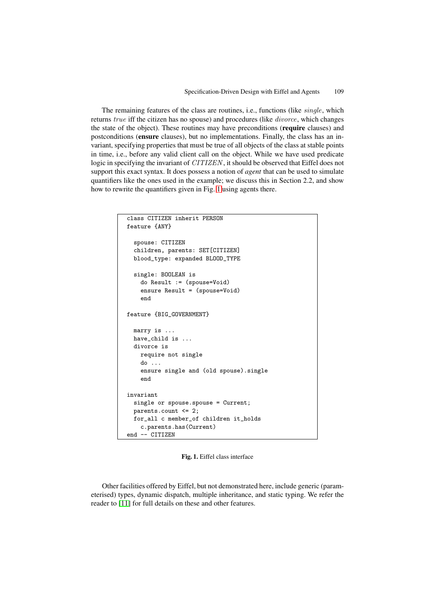<span id="page-2-0"></span>The remaining features of the class are routines, i.e., functions (like *single*, which returns *true* iff the citizen has no spouse) and procedures (like *divorce*, which changes the state of the object). These routines may have preconditions (**require** clauses) and postconditions (**ensure** clauses), but no implementations. Finally, the class has an invariant, specifying properties that must be true of all objects of the class at stable points in time, i.e., before any valid client call on the object. While we have used predicate logic in specifying the invariant of *CITIZEN* , it should be observed that Eiffel does not support this exact syntax. It does possess a notion of *agent* that can be used to simulate quantifiers like the ones used in the example; we discuss this in Section 2.2, and show how to rewrite the quantifiers given in Fig. 1 using agents there.

```
class CITIZEN inherit PERSON
feature {ANY}
  spouse: CITIZEN
  children, parents: SET[CITIZEN]
  blood_type: expanded BLOOD_TYPE
  single: BOOLEAN is
    do Result := (spouse=Void)
    ensure Result = (spouse=Void)
    end
feature {BIG_GOVERNMENT}
  marry is ...
  have_child is ...
  divorce is
   require not single
    do ...
    ensure single and (old spouse).single
    end
invariant
  single or spouse.spouse = Current;
  parents.count <= 2;
  for_all c member_of children it_holds
    c.parents.has(Current)
end -- CITIZEN
```
**Fig. 1.** Eiffel class interface

Other facilities offered by Eiffel, but not demonstrated here, include generic (parameterised) types, dynamic dispatch, multiple inheritance, and static typing. We refer the reader to [\[11\]](#page-16-0) for full details on these and other features.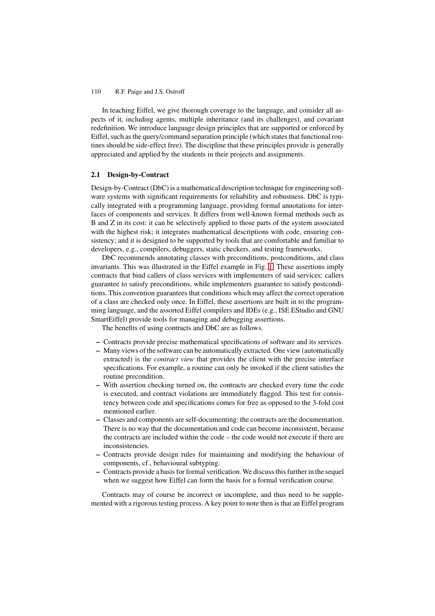In teaching Eiffel, we give thorough coverage to the language, and consider all aspects of it, including agents, multiple inheritance (and its challenges), and covariant redefinition. We introduce language design principles that are supported or enforced by Eiffel, such as the query/command separation principle (which states that functional routines should be side-effect free). The discipline that these principles provide is generally appreciated and applied by the students in their projects and assignments.

## **2.1 Design-by-Contract**

Design-by-Contract (DbC) is a mathematical description technique for engineering software systems with significant requirements for reliability and robustness. DbC is typically integrated with a programming language, providing formal annotations for interfaces of components and services. It differs from well-known formal methods such as B and Z in its cost: it can be selectively applied to those parts of the system associated with the highest risk; it integrates mathematical descriptions with code, ensuring consistency; and it is designed to be supported by tools that are comfortable and familiar to developers, e.g., compilers, debuggers, static checkers, and testing frameworks.

DbC recommends annotating classes with preconditions, postconditions, and class invariants. This was illustrated in the Eiffel example in Fig. [1.](#page-2-0) These assertions imply contracts that bind callers of class services with implementers of said services: callers guarantee to satisfy preconditions, while implementers guarantee to satisfy postconditions. This convention guarantees that conditions which may affect the correct operation of a class are checked only once. In Eiffel, these assertions are built in to the programming language, and the assorted Eiffel compilers and IDEs (e.g., ISE EStudio and GNU SmartEiffel) provide tools for managing and debugging assertions.

The benefits of using contracts and DbC are as follows.

- **–** Contracts provide precise mathematical specifications of software and its services.
- **–** Many views of the software can be automatically extracted. One view (automatically extracted) is the *contract view* that provides the client with the precise interface specifications. For example, a routine can only be invoked if the client satisfies the routine precondition.
- **–** With assertion checking turned on, the contracts are checked every time the code is executed, and contract violations are immediately flagged. This test for consistency between code and specifications comes for free as opposed to the 3-fold cost mentioned earlier.
- **–** Classes and components are self-documenting: the contracts are the documentation. There is no way that the documentation and code can become inconsistent, because the contracts are included within the code – the code would not execute if there are inconsistencies.
- **–** Contracts provide design rules for maintaining and modifying the behaviour of components, cf., behavioural subtyping.
- **–** Contracts provide a basis for formal verification. We discuss this further in the sequel when we suggest how Eiffel can form the basis for a formal verification course.

Contracts may of course be incorrect or incomplete, and thus need to be supplemented with a rigorous testing process. A key point to note then is that an Eiffel program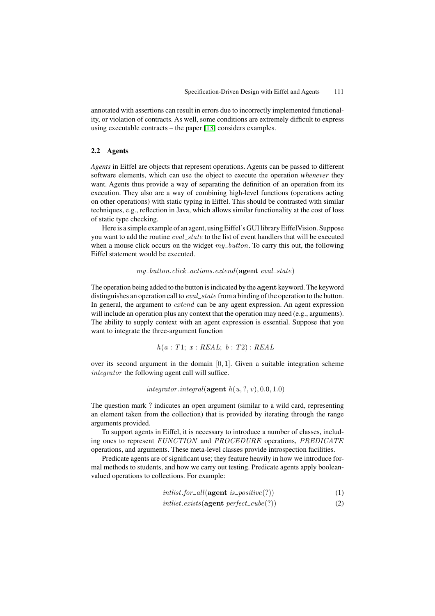annotated with assertions can result in errors due to incorrectly implemented functionality, or violation of contracts. As well, some conditions are extremely difficult to express using executable contracts – the paper [\[13\]](#page-16-0) considers examples.

## **2.2 Agents**

*Agents* in Eiffel are objects that represent operations. Agents can be passed to different software elements, which can use the object to execute the operation *whenever* they want. Agents thus provide a way of separating the definition of an operation from its execution. They also are a way of combining high-level functions (operations acting on other operations) with static typing in Eiffel. This should be contrasted with similar techniques, e.g., reflection in Java, which allows similar functionality at the cost of loss of static type checking.

Here is a simple example of an agent, using Eiffel's GUI library EiffelVision. Suppose you want to add the routine *eval state* to the list of event handlers that will be executed when a mouse click occurs on the widget *my button*. To carry this out, the following Eiffel statement would be executed.

$$
my\_button. click\_actions. extend ({\bf agent}\ eval\_state)
$$

The operation being added to the button is indicated by the **agent** keyword. The keyword distinguishes an operation call to  $eval\_state$  from a binding of the operation to the button. In general, the argument to *extend* can be any agent expression. An agent expression will include an operation plus any context that the operation may need (e.g., arguments). The ability to supply context with an agent expression is essential. Suppose that you want to integrate the three-argument function

$$
h(a: T1; x: REAL; b: T2): REAL
$$

over its second argument in the domain  $[0, 1]$ . Given a suitable integration scheme *integrator* the following agent call will suffice.

$$
integrator. integral(\textbf{agent } h(u,?,v),0.0,1.0)
$$

The question mark ? indicates an open argument (similar to a wild card, representing an element taken from the collection) that is provided by iterating through the range arguments provided.

To support agents in Eiffel, it is necessary to introduce a number of classes, including ones to represent *FUNCTION* and *PROCEDURE* operations, *PREDICATE* operations, and arguments. These meta-level classes provide introspection facilities.

Predicate agents are of significant use; they feature heavily in how we introduce formal methods to students, and how we carry out testing. Predicate agents apply booleanvalued operations to collections. For example:

$$
in t list. for \text{--}all(\text{agent } is \text{--}positive(?)
$$
\n
$$
...
$$
\n
$$
...
$$
\n
$$
...
$$
\n
$$
...
$$
\n
$$
...
$$
\n
$$
...
$$
\n
$$
...
$$
\n
$$
...
$$
\n
$$
...
$$
\n
$$
...
$$
\n
$$
...
$$
\n
$$
...
$$
\n
$$
...
$$
\n
$$
...
$$
\n
$$
...
$$
\n
$$
...
$$
\n
$$
...
$$
\n
$$
...
$$
\n
$$
...
$$
\n
$$
...
$$
\n
$$
...
$$
\n
$$
...
$$
\n
$$
...
$$
\n
$$
...
$$
\n
$$
...
$$
\n
$$
...
$$
\n
$$
...
$$
\n
$$
...
$$
\n
$$
...
$$
\n
$$
...
$$
\n
$$
...
$$
\n
$$
...
$$
\n
$$
...
$$
\n
$$
...
$$
\n
$$
...
$$
\n
$$
...
$$
\n
$$
...
$$
\n
$$
...
$$
\n
$$
...
$$
\n
$$
...
$$
\n
$$
...
$$
\n
$$
...
$$
\n
$$
...
$$
\n
$$
...
$$
\n
$$
...
$$
\n
$$
...
$$
\n
$$
...
$$
\n
$$
...
$$
\n
$$
...
$$
\n
$$
...
$$
\n
$$
...
$$
\n
$$
...
$$
\n
$$
...
$$
\n
$$
...
$$
\n
$$
...
$$
\n
$$
...
$$
\n
$$
...
$$
\n
$$
...
$$
\n
$$
...
$$
\n
$$
...
$$
\n
$$
...
$$
\n
$$
...
$$
\n
$$
...
$$
\n
$$
...
$$
\n
$$
...
$$
\n
$$
...
$$
\n
$$
...
$$
\n
$$
...
$$
\n
$$
...
$$
\n
$$
...
$$
\n
$$
...
$$
\n
$$
...
$$
\n
$$
...
$$
\n

$$
in tlist. exists (\textbf{agent } perfect\_cube(?) )
$$
 (2)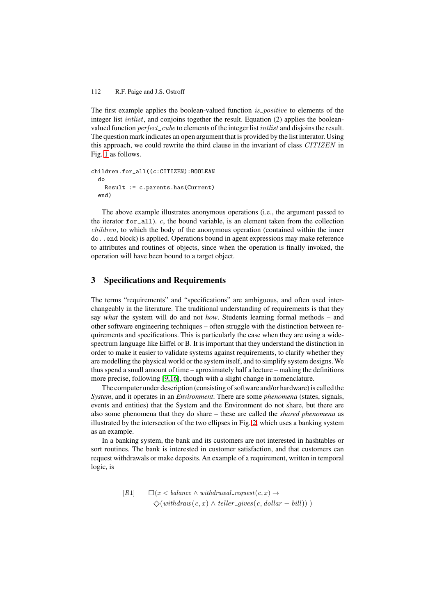The first example applies the boolean-valued function *is positive* to elements of the integer list *intlist*, and conjoins together the result. Equation (2) applies the booleanvalued function *perfect cube* to elements of the integer list *intlist* and disjoins the result. The question mark indicates an open argument that is provided by the list interator. Using this approach, we could rewrite the third clause in the invariant of class *CITIZEN* in Fig. [1](#page-2-0) as follows.

```
children.for_all((c:CITIZEN):BOOLEAN
 do
   Result := c.parents.has(Current)
 end)
```
The above example illustrates anonymous operations (i.e., the argument passed to the iterator for\_all). *c*, the bound variable, is an element taken from the collection *children*, to which the body of the anonymous operation (contained within the inner do..end block) is applied. Operations bound in agent expressions may make reference to attributes and routines of objects, since when the operation is finally invoked, the operation will have been bound to a target object.

# **3 Specifications and Requirements**

The terms "requirements" and "specifications" are ambiguous, and often used interchangeably in the literature. The traditional understanding of requirements is that they say *what* the system will do and not *how*. Students learning formal methods – and other software engineering techniques – often struggle with the distinction between requirements and specifications. This is particularly the case when they are using a widespectrum language like Eiffel or B. It is important that they understand the distinction in order to make it easier to validate systems against requirements, to clarify whether they are modelling the physical world or the system itself, and to simplify system designs. We thus spend a small amount of time – aproximately half a lecture – making the definitions more precise, following [\[9,16\]](#page-16-0), though with a slight change in nomenclature.

The computer under description (consisting of software and/or hardware) is called the *System*, and it operates in an *Environment*. There are some *phenomena* (states, signals, events and entities) that the System and the Environment do not share, but there are also some phenomena that they do share – these are called the *shared phenomena* as illustrated by the intersection of the two ellipses in Fig. [2,](#page-6-0) which uses a banking system as an example.

In a banking system, the bank and its customers are not interested in hashtables or sort routines. The bank is interested in customer satisfaction, and that customers can request withdrawals or make deposits. An example of a requirement, written in temporal logic, is

$$
[R1] \qquad \Box(x < balance \land with \text{d}rawal\_request(c, x) \rightarrow
$$
\n
$$
\Diamond (with \text{d}raw(c, x) \land teller\_gives(c, dollar - bill)) )
$$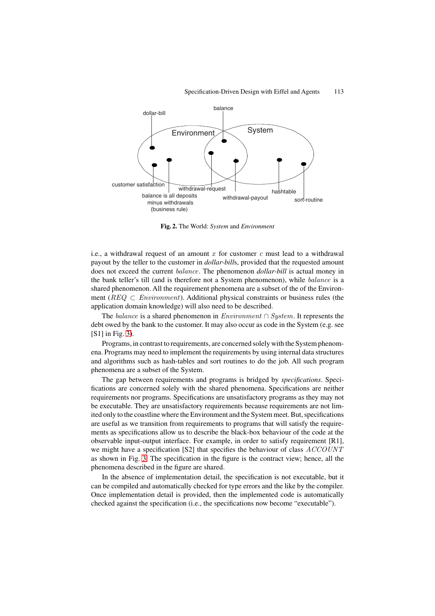<span id="page-6-0"></span>

**Fig. 2.** The World: *System* and *Environment*

i.e., a withdrawal request of an amount *x* for customer *c* must lead to a withdrawal payout by the teller to the customer in *dollar-bill*s, provided that the requested amount does not exceed the current *balance*. The phenomenon *dollar-bill* is actual money in the bank teller's till (and is therefore not a System phenomenon), while *balance* is a shared phenomenon. All the requirement phenomena are a subset of the of the Environment (*REQ* ⊂ *Environment*). Additional physical constraints or business rules (the application domain knowledge) will also need to be described.

The *balance* is a shared phenomenon in *Environment* ∩ *System*. It represents the debt owed by the bank to the customer. It may also occur as code in the System (e.g. see [S1] in Fig. [3\)](#page-7-0).

Programs, in contrast to requirements, are concerned solely with the System phenomena. Programs may need to implement the requirements by using internal data structures and algorithms such as hash-tables and sort routines to do the job. All such program phenomena are a subset of the System.

The gap between requirements and programs is bridged by *specifications*. Specifications are concerned solely with the shared phenomena. Specifications are neither requirements nor programs. Specifications are unsatisfactory programs as they may not be executable. They are unsatisfactory requirements because requirements are not limited only to the coastline where the Environment and the System meet. But, specifications are useful as we transition from requirements to programs that will satisfy the requirements as specifications allow us to describe the black-box behaviour of the code at the observable input-output interface. For example, in order to satisfy requirement [R1], we might have a specification [S2] that specifies the behaviour of class *ACCOUNT* as shown in Fig. [3.](#page-7-0) The specification in the figure is the contract view; hence, all the phenomena described in the figure are shared.

In the absence of implementation detail, the specification is not executable, but it can be compiled and automatically checked for type errors and the like by the compiler. Once implementation detail is provided, then the implemented code is automatically checked against the specification (i.e., the specifications now become "executable").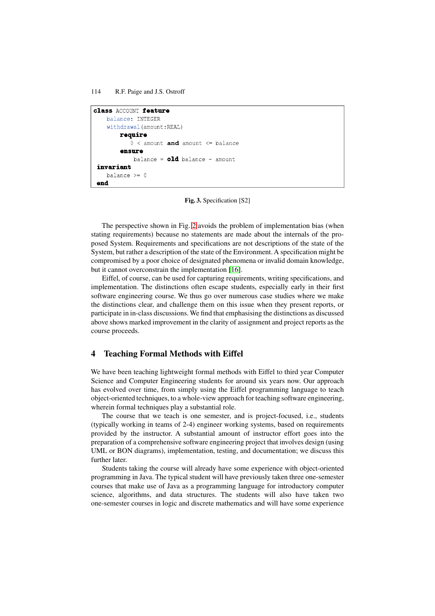```
class ACCOUNT feature
    balance: INTEGER
    withdrawal (amount: REAL)
        require
           0 < amount and amount \leq balance
        ensure
            balance = \mathbf{old} balance - amount
 invariant
    balance >= 0end
```
**Fig. 3.** Specification [S2]

The perspective shown in Fig. [2](#page-6-0) avoids the problem of implementation bias (when stating requirements) because no statements are made about the internals of the proposed System. Requirements and specifications are not descriptions of the state of the System, but rather a description of the state of the Environment. A specification might be compromised by a poor choice of designated phenomena or invalid domain knowledge, but it cannot overconstrain the implementation [\[16\]](#page-16-0).

Eiffel, of course, can be used for capturing requirements, writing specifications, and implementation. The distinctions often escape students, especially early in their first software engineering course. We thus go over numerous case studies where we make the distinctions clear, and challenge them on this issue when they present reports, or participate in in-class discussions. We find that emphasising the distinctions as discussed above shows marked improvement in the clarity of assignment and project reports as the course proceeds.

## **4 Teaching Formal Methods with Eiffel**

We have been teaching lightweight formal methods with Eiffel to third year Computer Science and Computer Engineering students for around six years now. Our approach has evolved over time, from simply using the Eiffel programming language to teach object-oriented techniques, to a whole-view approach for teaching software engineering, wherein formal techniques play a substantial role.

The course that we teach is one semester, and is project-focused, i.e., students (typically working in teams of 2-4) engineer working systems, based on requirements provided by the instructor. A substantial amount of instructor effort goes into the preparation of a comprehensive software engineering project that involves design (using UML or BON diagrams), implementation, testing, and documentation; we discuss this further later.

Students taking the course will already have some experience with object-oriented programming in Java. The typical student will have previously taken three one-semester courses that make use of Java as a programming language for introductory computer science, algorithms, and data structures. The students will also have taken two one-semester courses in logic and discrete mathematics and will have some experience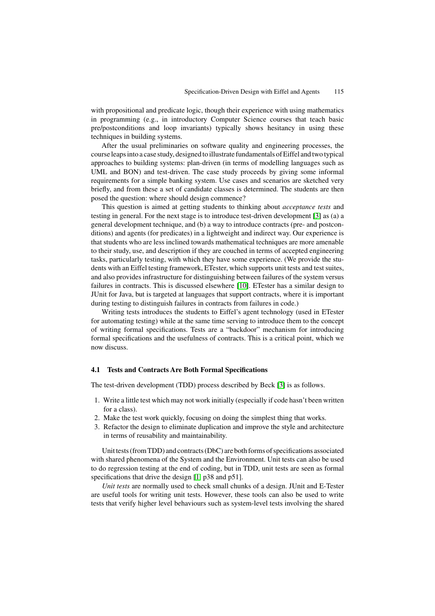with propositional and predicate logic, though their experience with using mathematics in programming (e.g., in introductory Computer Science courses that teach basic pre/postconditions and loop invariants) typically shows hesitancy in using these techniques in building systems.

After the usual preliminaries on software quality and engineering processes, the course leaps into a case study, designed to illustrate fundamentals of Eiffel and two typical approaches to building systems: plan-driven (in terms of modelling languages such as UML and BON) and test-driven. The case study proceeds by giving some informal requirements for a simple banking system. Use cases and scenarios are sketched very briefly, and from these a set of candidate classes is determined. The students are then posed the question: where should design commence?

This question is aimed at getting students to thinking about *acceptance tests* and testing in general. For the next stage is to introduce test-driven development [\[3\]](#page-16-0) as (a) a general development technique, and (b) a way to introduce contracts (pre- and postconditions) and agents (for predicates) in a lightweight and indirect way. Our experience is that students who are less inclined towards mathematical techniques are more amenable to their study, use, and description if they are couched in terms of accepted engineering tasks, particularly testing, with which they have some experience. (We provide the students with an Eiffel testing framework, ETester, which supports unit tests and test suites, and also provides infrastructure for distinguishing between failures of the system versus failures in contracts. This is discussed elsewhere [\[10\]](#page-16-0). ETester has a similar design to JUnit for Java, but is targeted at languages that support contracts, where it is important during testing to distinguish failures in contracts from failures in code.)

Writing tests introduces the students to Eiffel's agent technology (used in ETester for automating testing) while at the same time serving to introduce them to the concept of writing formal specifications. Tests are a "backdoor" mechanism for introducing formal specifications and the usefulness of contracts. This is a critical point, which we now discuss.

#### **4.1 Tests and Contracts Are Both Formal Specifications**

The test-driven development (TDD) process described by Beck [\[3\]](#page-16-0) is as follows.

- 1. Write a little test which may not work initially (especially if code hasn't been written for a class).
- 2. Make the test work quickly, focusing on doing the simplest thing that works.
- 3. Refactor the design to eliminate duplication and improve the style and architecture in terms of reusability and maintainability.

Unit tests (fromTDD) and contracts (DbC) are both forms of specifications associated with shared phenomena of the System and the Environment. Unit tests can also be used to do regression testing at the end of coding, but in TDD, unit tests are seen as formal specifications that drive the design [\[1,](#page-16-0) p38 and p51].

*Unit tests* are normally used to check small chunks of a design. JUnit and E-Tester are useful tools for writing unit tests. However, these tools can also be used to write tests that verify higher level behaviours such as system-level tests involving the shared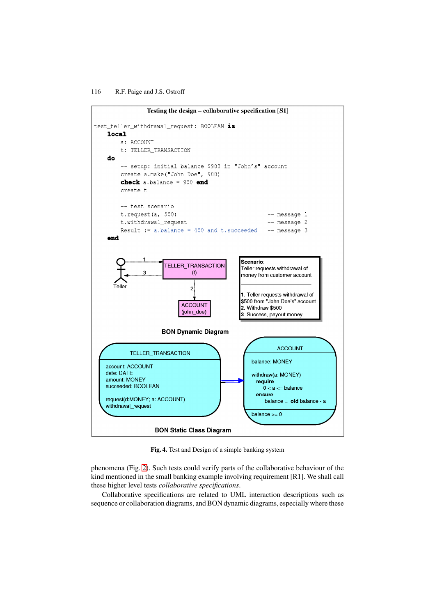<span id="page-9-0"></span>

**Fig. 4.** Test and Design of a simple banking system

phenomena (Fig. [2\)](#page-6-0). Such tests could verify parts of the collaborative behaviour of the kind mentioned in the small banking example involving requirement [R1]. We shall call these higher level tests *collaborative specifications*.

Collaborative specifications are related to UML interaction descriptions such as sequence or collaboration diagrams, and BON dynamic diagrams, especially where these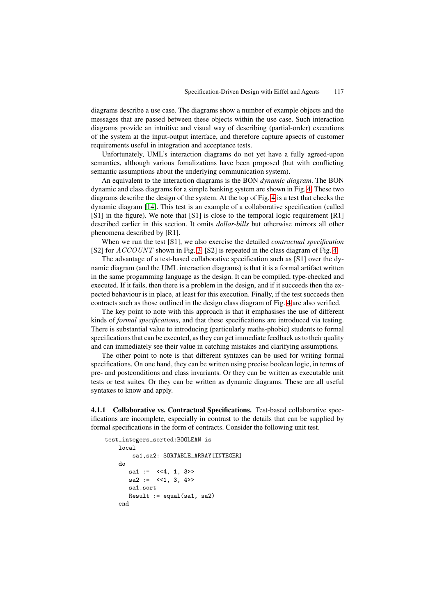diagrams describe a use case. The diagrams show a number of example objects and the messages that are passed between these objects within the use case. Such interaction diagrams provide an intuitive and visual way of describing (partial-order) executions of the system at the input-output interface, and therefore capture apsects of customer requirements useful in integration and acceptance tests.

Unfortunately, UML's interaction diagrams do not yet have a fully agreed-upon semantics, although various fomalizations have been proposed (but with conflicting semantic assumptions about the underlying communication system).

An equivalent to the interaction diagrams is the BON *dynamic diagram*. The BON dynamic and class diagrams for a simple banking system are shown in Fig. [4.](#page-9-0) These two diagrams describe the design of the system. At the top of Fig. [4](#page-9-0) is a test that checks the dynamic diagram [\[14\]](#page-16-0). This test is an example of a collaborative specification (called [S1] in the figure). We note that [S1] is close to the temporal logic requirement [R1] described earlier in this section. It omits *dollar-bills* but otherwise mirrors all other phenomena described by [R1].

When we run the test [S1], we also exercise the detailed *contractual specification* [S2] for *ACCOUNT* shown in Fig. [3.](#page-7-0) [S2] is repeated in the class diagram of Fig. [4.](#page-9-0)

The advantage of a test-based collaborative specification such as [S1] over the dynamic diagram (and the UML interaction diagrams) is that it is a formal artifact written in the same progamming language as the design. It can be compiled, type-checked and executed. If it fails, then there is a problem in the design, and if it succeeds then the expected behaviour is in place, at least for this execution. Finally, if the test succeeds then contracts such as those outlined in the design class diagram of Fig. [4](#page-9-0) are also verified.

The key point to note with this approach is that it emphasises the use of different kinds of *formal specifications*, and that these specifications are introduced via testing. There is substantial value to introducing (particularly maths-phobic) students to formal specifications that can be executed, as they can get immediate feedback as to their quality and can immediately see their value in catching mistakes and clarifying assumptions.

The other point to note is that different syntaxes can be used for writing formal specifications. On one hand, they can be written using precise boolean logic, in terms of pre- and postconditions and class invariants. Or they can be written as executable unit tests or test suites. Or they can be written as dynamic diagrams. These are all useful syntaxes to know and apply.

**4.1.1 Collaborative vs. Contractual Specifications.** Test-based collaborative specifications are incomplete, especially in contrast to the details that can be supplied by formal specifications in the form of contracts. Consider the following unit test.

```
test_integers_sorted:BOOLEAN is
    local
         sa1,sa2: SORTABLE_ARRAY[INTEGER]
    do
        sa1 := \langle 4, 1, 3 \ranglesa2 := \langle 1, 3, 4 \ranglesa1.sort
        Result := equal(sa1, sa2)end
```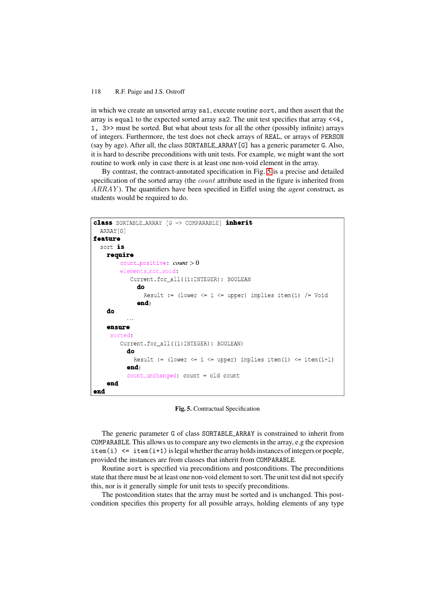in which we create an unsorted array sa1, execute routine sort, and then assert that the array is equal to the expected sorted array sa2. The unit test specifies that array <<4, 1, 3>> must be sorted. But what about tests for all the other (possibly infinite) arrays of integers. Furthermore, the test does not check arrays of REAL, or arrays of PERSON (say by age). After all, the class SORTABLE ARRAY[G] has a generic parameter G. Also, it is hard to describe preconditions with unit tests. For example, we might want the sort routine to work only in case there is at least one non-void element in the array.

By contrast, the contract-annotated specification in Fig. 5 is a precise and detailed specification of the sorted array (the *count* attribute used in the figure is inherited from *ARRAY* ). The quantifiers have been specified in Eiffel using the *agent* construct, as students would be required to do.

```
class SORTABLE_ARRAY [G -> COMPARABLE] inherit
  ARRAY[G]
feature
  sort is
    require
        count_positive: count > 0elements_not_void:
           Current.for_all((i:INTEGER): BOOLEAN
             do
               Result := (lower <= i <= upper) implies item(i) /= Void
             end)
    do
          \simensure
     sorted:
        Current.for_all((i:INTEGER): BOOLEAN)
          do
            Result := (lower \leq i \leq upper) implies item(i) \leq item(i+1)
          end)
          count_unchanged: count = old count
    end
end
```
**Fig. 5.** Contractual Specification

The generic parameter G of class SORTABLE ARRAY is constrained to inherit from COMPARABLE. This allows us to compare any two elements in the array, e.g the expresion item(i)  $\leq$  item(i+1) is legal whether the array holds instances of integers or poeple, provided the instances are from classes that inherit from COMPARABLE.

Routine sort is specified via preconditions and postconditions. The preconditions state that there must be at least one non-void element to sort. The unit test did not specify this, nor is it generally simple for unit tests to specify preconditions.

The postcondition states that the array must be sorted and is unchanged. This postcondition specifies this property for all possible arrays, holding elements of any type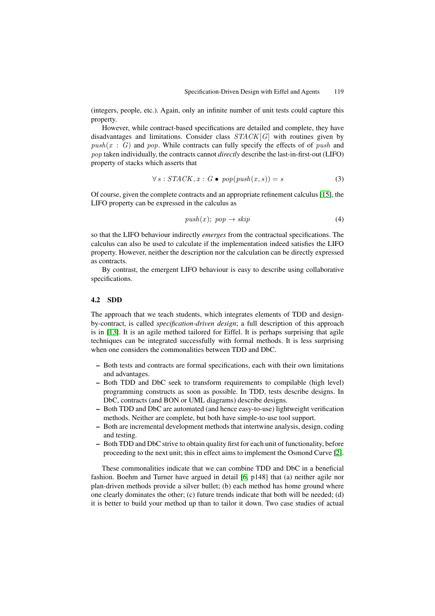(integers, people, etc.). Again, only an infinite number of unit tests could capture this property.

However, while contract-based specifications are detailed and complete, they have disadvantages and limitations. Consider class *STACK*[*G*] with routines given by *push*(*x* : *G*) and *pop*. While contracts can fully specify the effects of of *push* and *pop* taken individually, the contracts cannot *directly* describe the last-in-first-out (LIFO) property of stacks which asserts that

$$
\forall s: STACK, x: G \bullet pop(push(x, s)) = s \tag{3}
$$

Of course, given the complete contracts and an appropriate refinement calculus [\[15\]](#page-16-0), the LIFO property can be expressed in the calculus as

$$
push(x); \; pop \to skip \tag{4}
$$

so that the LIFO behaviour indirectly *emerges* from the contractual specifications. The calculus can also be used to calculate if the implementation indeed satisfies the LIFO property. However, neither the description nor the calculation can be directly expressed as contracts.

By contrast, the emergent LIFO behaviour is easy to describe using collaborative specifications.

#### **4.2 SDD**

The approach that we teach students, which integrates elements of TDD and designby-contract, is called *specification-driven design*; a full description of this approach is in [\[13\]](#page-16-0). It is an agile method tailored for Eiffel. It is perhaps surprising that agile techniques can be integrated successfully with formal methods. It is less surprising when one considers the commonalities between TDD and DbC.

- **–** Both tests and contracts are formal specifications, each with their own limitations and advantages.
- **–** Both TDD and DbC seek to transform requirements to compilable (high level) programming constructs as soon as possible. In TDD, tests describe designs. In DbC, contracts (and BON or UML diagrams) describe designs.
- **–** Both TDD and DbC are automated (and hence easy-to-use) lightweight verification methods. Neither are complete, but both have simple-to-use tool support.
- **–** Both are incremental development methods that intertwine analysis, design, coding and testing.
- **–** Both TDD and DbC strive to obtain quality first for each unit of functionality, before proceeding to the next unit; this in effect aims to implement the Osmond Curve [\[2\]](#page-16-0).

These commonalities indicate that we can combine TDD and DbC in a beneficial fashion. Boehm and Turner have argued in detail [\[6,](#page-16-0) p148] that (a) neither agile nor plan-driven methods provide a silver bullet; (b) each method has home ground where one clearly dominates the other; (c) future trends indicate that both will be needed; (d) it is better to build your method up than to tailor it down. Two case studies of actual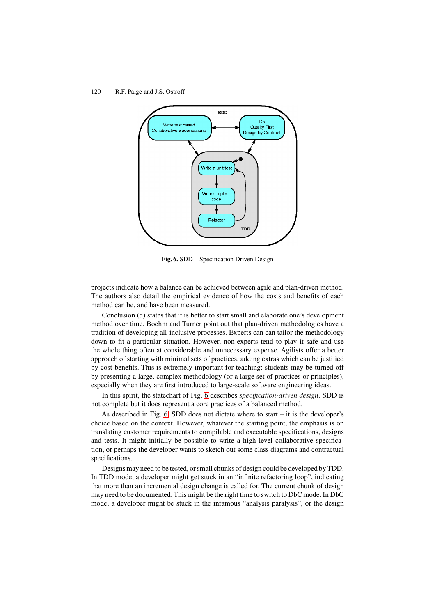

**Fig. 6.** SDD – Specification Driven Design

projects indicate how a balance can be achieved between agile and plan-driven method. The authors also detail the empirical evidence of how the costs and benefits of each method can be, and have been measured.

Conclusion (d) states that it is better to start small and elaborate one's development method over time. Boehm and Turner point out that plan-driven methodologies have a tradition of developing all-inclusive processes. Experts can can tailor the methodology down to fit a particular situation. However, non-experts tend to play it safe and use the whole thing often at considerable and unnecessary expense. Agilists offer a better approach of starting with minimal sets of practices, adding extras which can be justified by cost-benefits. This is extremely important for teaching: students may be turned off by presenting a large, complex methodology (or a large set of practices or principles), especially when they are first introduced to large-scale software engineering ideas.

In this spirit, the statechart of Fig. 6 describes *specification-driven design*. SDD is not complete but it does represent a core practices of a balanced method.

As described in Fig. 6, SDD does not dictate where to start – it is the developer's choice based on the context. However, whatever the starting point, the emphasis is on translating customer requirements to compilable and executable specifications, designs and tests. It might initially be possible to write a high level collaborative specification, or perhaps the developer wants to sketch out some class diagrams and contractual specifications.

Designs may need to be tested, or small chunks of design could be developed by TDD. In TDD mode, a developer might get stuck in an "infinite refactoring loop", indicating that more than an incremental design change is called for. The current chunk of design may need to be documented. This might be the right time to switch to DbC mode. In DbC mode, a developer might be stuck in the infamous "analysis paralysis", or the design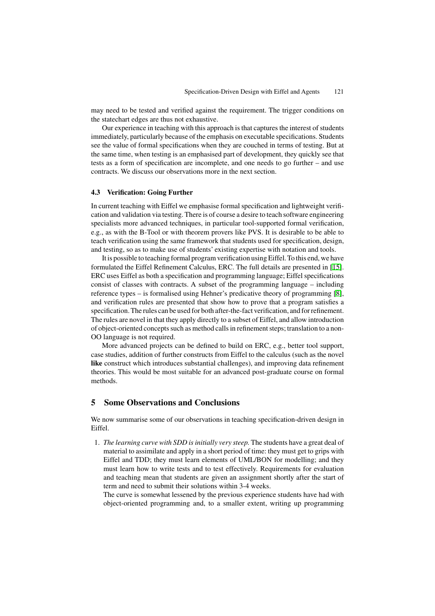may need to be tested and verified against the requirement. The trigger conditions on the statechart edges are thus not exhaustive.

Our experience in teaching with this approach is that captures the interest of students immediately, particularly because of the emphasis on executable specifications. Students see the value of formal specifications when they are couched in terms of testing. But at the same time, when testing is an emphasised part of development, they quickly see that tests as a form of specification are incomplete, and one needs to go further – and use contracts. We discuss our observations more in the next section.

#### **4.3 Verification: Going Further**

In current teaching with Eiffel we emphasise formal specification and lightweight verification and validation via testing. There is of course a desire to teach software engineering specialists more advanced techniques, in particular tool-supported formal verification, e.g., as with the B-Tool or with theorem provers like PVS. It is desirable to be able to teach verification using the same framework that students used for specification, design, and testing, so as to make use of students' existing expertise with notation and tools.

It is possible to teaching formal program verification using Eiffel. To this end, we have formulated the Eiffel Refinement Calculus, ERC. The full details are presented in [\[15\]](#page-16-0). ERC uses Eiffel as both a specification and programming language; Eiffel specifications consist of classes with contracts. A subset of the programming language – including reference types – is formalised using Hehner's predicative theory of programming [\[8\]](#page-16-0), and verification rules are presented that show how to prove that a program satisfies a specification.The rules can be used for both after-the-fact verification, and for refinement. The rules are novel in that they apply directly to a subset of Eiffel, and allow introduction of object-oriented concepts such as method calls in refinement steps; translation to a non-OO language is not required.

More advanced projects can be defined to build on ERC, e.g., better tool support, case studies, addition of further constructs from Eiffel to the calculus (such as the novel **like** construct which introduces substantial challenges), and improving data refinement theories. This would be most suitable for an advanced post-graduate course on formal methods.

#### **5 Some Observations and Conclusions**

We now summarise some of our observations in teaching specification-driven design in Eiffel.

1. *The learning curve with SDD is initially very steep.* The students have a great deal of material to assimilate and apply in a short period of time: they must get to grips with Eiffel and TDD; they must learn elements of UML/BON for modelling; and they must learn how to write tests and to test effectively. Requirements for evaluation and teaching mean that students are given an assignment shortly after the start of term and need to submit their solutions within 3-4 weeks.

The curve is somewhat lessened by the previous experience students have had with object-oriented programming and, to a smaller extent, writing up programming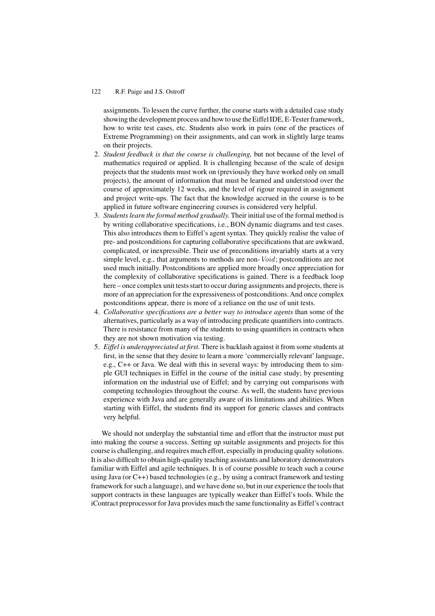<span id="page-15-0"></span>assignments. To lessen the curve further, the course starts with a detailed case study showing the development process and how to use the Eiffel IDE, E-Tester framework, how to write test cases, etc. Students also work in pairs (one of the practices of Extreme Programming) on their assignments, and can work in slightly large teams on their projects.

- 2. *Student feedback is that the course is challenging,* but not because of the level of mathematics required or applied. It is challenging because of the scale of design projects that the students must work on (previously they have worked only on small projects), the amount of information that must be learned and understood over the course of approximately 12 weeks, and the level of rigour required in assignment and project write-ups. The fact that the knowledge accrued in the course is to be applied in future software engineering courses is considered very helpful.
- 3. *Students learn the formal method gradually.* Their initial use of the formal method is by writing collaborative specifications, i.e., BON dynamic diagrams and test cases. This also introduces them to Eiffel's agent syntax. They quickly realise the value of pre- and postconditions for capturing collaborative specifications that are awkward, complicated, or inexpressible. Their use of preconditions invariably starts at a very simple level, e.g., that arguments to methods are non-*Void*; postconditions are not used much initially. Postconditions are applied more broadly once appreciation for the complexity of collaborative specifications is gained. There is a feedback loop here – once complex unit tests start to occur during assignments and projects, there is more of an appreciation for the expressiveness of postconditions. And once complex postconditions appear, there is more of a reliance on the use of unit tests.
- 4. *Collaborative specifications are a better way to introduce agents* than some of the alternatives, particularly as a way of introducing predicate quantifiers into contracts. There is resistance from many of the students to using quantifiers in contracts when they are not shown motivation via testing.
- 5. *Eiffel is underappreciated at first.* There is backlash against it from some students at first, in the sense that they desire to learn a more 'commercially relevant' language, e.g., C++ or Java. We deal with this in several ways: by introducing them to simple GUI techniques in Eiffel in the course of the initial case study; by presenting information on the industrial use of Eiffel; and by carrying out comparisons with competing technologies throughout the course. As well, the students have previous experience with Java and are generally aware of its limitations and abilities. When starting with Eiffel, the students find its support for generic classes and contracts very helpful.

We should not underplay the substantial time and effort that the instructor must put into making the course a success. Setting up suitable assignments and projects for this course is challenging, and requires much effort, especially in producing quality solutions. It is also difficult to obtain high-quality teaching assistants and laboratory demonstrators familiar with Eiffel and agile techniques. It is of course possible to teach such a course using Java (or  $C_{++}$ ) based technologies (e.g., by using a contract framework and testing framework for such a language), and we have done so, but in our experience the tools that support contracts in these languages are typically weaker than Eiffel's tools. While the iContract preprocessor for Java provides much the same functionality as Eiffel's contract